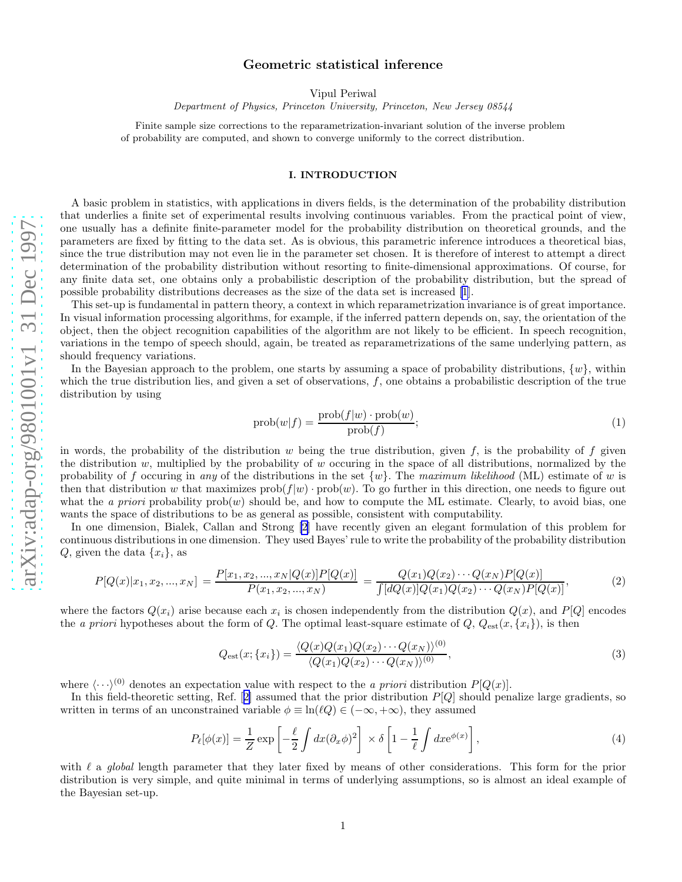Vipul Periwal

Department of Physics, Princeton University, Princeton, New Jersey 08544

<span id="page-0-0"></span>Finite sample size corrections to the reparametrization-invariant solution of the inverse problem of probability are computed, and shown to converge uniformly to the correct distribution.

## I. INTRODUCTION

A basic problem in statistics, with applications in divers fields, is the determination of the probability distribution that underlies a finite set of experimental results involving continuous variables. From the practical point of view, one usually has a definite finite-parameter model for the probability distribution on theoretical grounds, and the parameters are fixed by fitting to the data set. As is obvious, this parametric inference introduces a theoretical bias, since the true distribution may not even lie in the parameter set chosen. It is therefore of interest to attempt a direct determination of the probability distribution without resorting to finite-dimensional approximations. Of course, for any finite data set, one obtains only a probabilistic description of the probability distribution, but the spread of possible probability distributions decreases as the size of the data set is increased [\[1](#page-6-0)].

This set-up is fundamental in pattern theory, a context in which reparametrization invariance is of great importance. In visual information processing algorithms, for example, if the inferred pattern depends on, say, the orientation of the object, then the object recognition capabilities of the algorithm are not likely to be efficient. In speech recognition, variations in the tempo of speech should, again, be treated as reparametrizations of the same underlying pattern, as should frequency variations.

In the Bayesian approach to the problem, one starts by assuming a space of probability distributions,  $\{w\}$ , within which the true distribution lies, and given a set of observations,  $f$ , one obtains a probabilistic description of the true distribution by using

$$
prob(w|f) = \frac{prob(f|w) \cdot prob(w)}{prob(f)},
$$
\n(1)

in words, the probability of the distribution  $w$  being the true distribution, given  $f$ , is the probability of  $f$  given the distribution  $w$ , multiplied by the probability of  $w$  occuring in the space of all distributions, normalized by the probability of f occuring in any of the distributions in the set  $\{w\}$ . The maximum likelihood (ML) estimate of w is then that distribution w that maximizes  $\text{prob}(f|w) \cdot \text{prob}(w)$ . To go further in this direction, one needs to figure out what the a priori probability  $prob(w)$  should be, and how to compute the ML estimate. Clearly, to avoid bias, one wants the space of distributions to be as general as possible, consistent with computability.

In one dimension, Bialek, Callan and Strong [\[2](#page-6-0)] have recently given an elegant formulation of this problem for continuous distributions in one dimension. They used Bayes' rule to write the probability of the probability distribution  $Q$ , given the data  $\{x_i\}$ , as

$$
P[Q(x)|x_1, x_2, ..., x_N] = \frac{P[x_1, x_2, ..., x_N]Q(x)]P[Q(x)]}{P(x_1, x_2, ..., x_N)} = \frac{Q(x_1)Q(x_2) \cdots Q(x_N)P[Q(x)]}{\int [dQ(x)]Q(x_1)Q(x_2) \cdots Q(x_N)P[Q(x)]},
$$
(2)

where the factors  $Q(x_i)$  arise because each  $x_i$  is chosen independently from the distribution  $Q(x)$ , and  $P[Q]$  encodes the *a priori* hypotheses about the form of Q. The optimal least-square estimate of  $Q$ ,  $Q_{est}(x, \{x_i\})$ , is then

$$
Q_{\text{est}}(x; \{x_i\}) = \frac{\langle Q(x)Q(x_1)Q(x_2)\cdots Q(x_N)\rangle^{(0)}}{\langle Q(x_1)Q(x_2)\cdots Q(x_N)\rangle^{(0)}},\tag{3}
$$

where  $\langle \cdots \rangle^{(0)}$  denotes an expectation value with respect to the *a priori* distribution  $P[Q(x)]$ .

Inthis field-theoretic setting, Ref.  $[2]$  $[2]$  assumed that the prior distribution  $P[Q]$  should penalize large gradients, so written in terms of an unconstrained variable  $\phi \equiv \ln(\ell Q) \in (-\infty, +\infty)$ , they assumed

$$
P_{\ell}[\phi(x)] = \frac{1}{Z} \exp\left[-\frac{\ell}{2} \int dx (\partial_x \phi)^2\right] \times \delta\left[1 - \frac{1}{\ell} \int dx e^{\phi(x)}\right],\tag{4}
$$

with  $\ell$  a global length parameter that they later fixed by means of other considerations. This form for the prior distribution is very simple, and quite minimal in terms of underlying assumptions, so is almost an ideal example of the Bayesian set-up.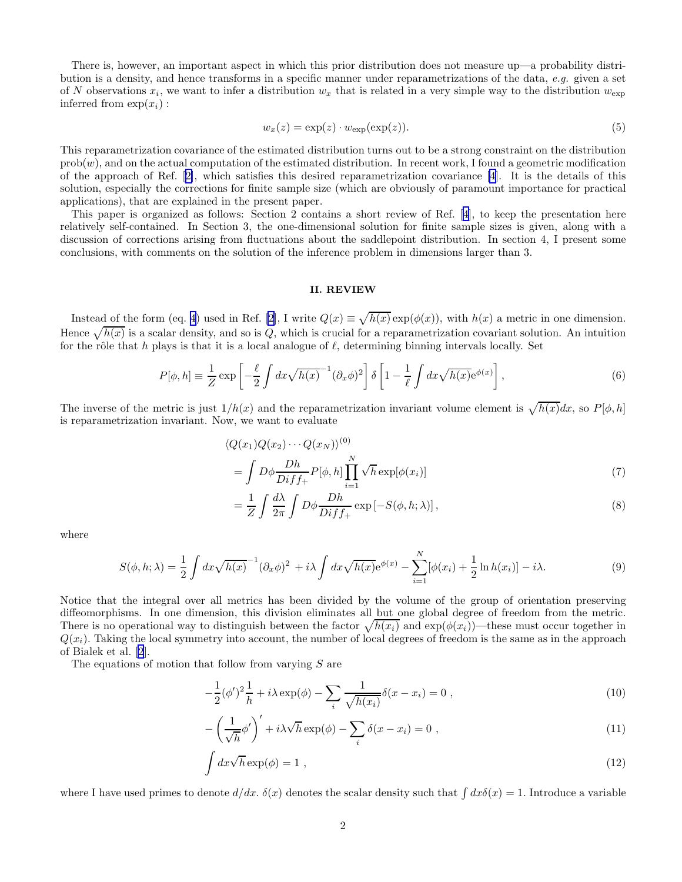<span id="page-1-0"></span>There is, however, an important aspect in which this prior distribution does not measure up—a probability distribution is a density, and hence transforms in a specific manner under reparametrizations of the data, e.g. given a set of N observations  $x_i$ , we want to infer a distribution  $w_x$  that is related in a very simple way to the distribution  $w_{\exp}$ inferred from  $\exp(x_i)$ :

$$
w_x(z) = \exp(z) \cdot w_{\exp}(\exp(z)).\tag{5}
$$

This reparametrization covariance of the estimated distribution turns out to be a strong constraint on the distribution  $prob(w)$ , and on the actual computation of the estimated distribution. In recent work, I found a geometric modification of the approach of Ref.[[2\]](#page-6-0), which satisfies this desired reparametrization covariance [\[4](#page-6-0)]. It is the details of this solution, especially the corrections for finite sample size (which are obviously of paramount importance for practical applications), that are explained in the present paper.

This paper is organized as follows: Section 2 contains a short review of Ref.[[4\]](#page-6-0), to keep the presentation here relatively self-contained. In Section 3, the one-dimensional solution for finite sample sizes is given, along with a discussion of corrections arising from fluctuations about the saddlepoint distribution. In section 4, I present some conclusions, with comments on the solution of the inference problem in dimensions larger than 3.

## II. REVIEW

Instead of the form (eq. [4\)](#page-0-0) used in Ref. [\[2](#page-6-0)], I write  $Q(x) \equiv \sqrt{h(x)} \exp(\phi(x))$ , with  $h(x)$  a metric in one dimension. Hence  $\sqrt{h(x)}$  is a scalar density, and so is Q, which is crucial for a reparametrization covariant solution. An intuition for the rôle that h plays is that it is a local analogue of  $\ell$ , determining binning intervals locally. Set

$$
P[\phi, h] \equiv \frac{1}{Z} \exp\left[-\frac{\ell}{2} \int dx \sqrt{h(x)}^{-1} (\partial_x \phi)^2\right] \delta\left[1 - \frac{1}{\ell} \int dx \sqrt{h(x)} e^{\phi(x)}\right],\tag{6}
$$

The inverse of the metric is just  $1/h(x)$  and the reparametrization invariant volume element is  $\sqrt{h(x)}dx$ , so  $P[\phi, h]$ is reparametrization invariant. Now, we want to evaluate

$$
\langle Q(x_1)Q(x_2)\cdots Q(x_N)\rangle^{(0)}
$$
  
= 
$$
\int D\phi \frac{Dh}{Diff_+} P[\phi, h] \prod_{i=1}^N \sqrt{h} \exp[\phi(x_i)]
$$
 (7)

$$
= \frac{1}{Z} \int \frac{d\lambda}{2\pi} \int D\phi \frac{Dh}{Diff_{+}} \exp\left[-S(\phi, h; \lambda)\right],
$$
\n(8)

where

$$
S(\phi, h; \lambda) = \frac{1}{2} \int dx \sqrt{h(x)}^{-1} (\partial_x \phi)^2 + i \lambda \int dx \sqrt{h(x)} e^{\phi(x)} - \sum_{i=1}^N [\phi(x_i) + \frac{1}{2} \ln h(x_i)] - i \lambda.
$$
 (9)

Notice that the integral over all metrics has been divided by the volume of the group of orientation preserving diffeomorphisms. In one dimension, this division eliminates all but one global degree of freedom from the metric. There is no operational way to distinguish between the factor  $\sqrt{h(x_i)}$  and  $\exp(\phi(x_i))$ —these must occur together in  $Q(x_i)$ . Taking the local symmetry into account, the number of local degrees of freedom is the same as in the approach of Bialek et al. [\[2](#page-6-0)].

The equations of motion that follow from varying S are

$$
-\frac{1}{2}(\phi')^2 \frac{1}{h} + i\lambda \exp(\phi) - \sum_{i} \frac{1}{\sqrt{h(x_i)}} \delta(x - x_i) = 0 , \qquad (10)
$$

$$
-\left(\frac{1}{\sqrt{h}}\phi'\right)' + i\lambda\sqrt{h}\exp(\phi) - \sum_{i}\delta(x - x_i) = 0,
$$
\n(11)

$$
\int dx \sqrt{h} \exp(\phi) = 1 , \qquad (12)
$$

where I have used primes to denote  $d/dx$ .  $\delta(x)$  denotes the scalar density such that  $\int dx\delta(x) = 1$ . Introduce a variable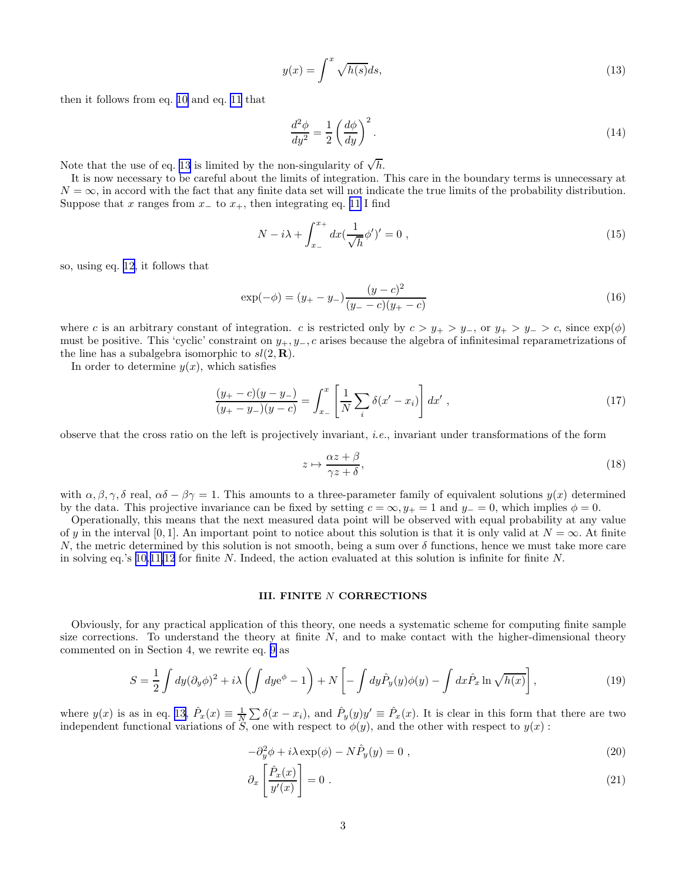$$
y(x) = \int^x \sqrt{h(s)}ds,\tag{13}
$$

<span id="page-2-0"></span>then it follows from eq. [10](#page-1-0) and eq. [11](#page-1-0) that

$$
\frac{d^2\phi}{dy^2} = \frac{1}{2} \left(\frac{d\phi}{dy}\right)^2.
$$
\n(14)

Note that the use of eq. 13 is limited by the non-singularity of  $\sqrt{h}$ .

It is now necessary to be careful about the limits of integration. This care in the boundary terms is unnecessary at  $N = \infty$ , in accord with the fact that any finite data set will not indicate the true limits of the probability distribution. Suppose that x ranges from  $x_+$  to  $x_+$ , then integrating eq. [11](#page-1-0) I find

$$
N - i\lambda + \int_{x_{-}}^{x_{+}} dx \left(\frac{1}{\sqrt{h}}\phi'\right)' = 0 ,
$$
\n(15)

so, using eq. [12,](#page-1-0) it follows that

$$
\exp(-\phi) = (y_{+} - y_{-})\frac{(y - c)^{2}}{(y_{-} - c)(y_{+} - c)}
$$
\n(16)

where c is an arbitrary constant of integration. c is restricted only by  $c > y_+ > y_-$ , or  $y_+ > y_- > c$ , since  $\exp(\phi)$ must be positive. This 'cyclic' constraint on  $y_+, y_-, c$  arises because the algebra of infinitesimal reparametrizations of the line has a subalgebra isomorphic to  $sl(2, \mathbf{R})$ .

In order to determine  $y(x)$ , which satisfies

$$
\frac{(y_{+}-c)(y-y_{-})}{(y_{+}-y_{-})(y-c)} = \int_{x_{-}}^{x} \left[ \frac{1}{N} \sum_{i} \delta(x'-x_{i}) \right] dx', \qquad (17)
$$

observe that the cross ratio on the left is projectively invariant, i.e., invariant under transformations of the form

$$
z \mapsto \frac{\alpha z + \beta}{\gamma z + \delta},\tag{18}
$$

with  $\alpha, \beta, \gamma, \delta$  real,  $\alpha\delta - \beta\gamma = 1$ . This amounts to a three-parameter family of equivalent solutions  $y(x)$  determined by the data. This projective invariance can be fixed by setting  $c = \infty$ ,  $y_{+} = 1$  and  $y_{-} = 0$ , which implies  $\phi = 0$ .

Operationally, this means that the next measured data point will be observed with equal probability at any value of y in the interval [0, 1]. An important point to notice about this solution is that it is only valid at  $N = \infty$ . At finite N, the metric determined by this solution is not smooth, being a sum over  $\delta$  functions, hence we must take more care in solving eq.'s [10,11,12](#page-1-0) for finite N. Indeed, the action evaluated at this solution is infinite for finite N.

## III. FINITE N CORRECTIONS

Obviously, for any practical application of this theory, one needs a systematic scheme for computing finite sample size corrections. To understand the theory at finite  $N$ , and to make contact with the higher-dimensional theory commented on in Section 4, we rewrite eq. [9](#page-1-0) as

$$
S = \frac{1}{2} \int dy (\partial_y \phi)^2 + i\lambda \left( \int dy e^{\phi} - 1 \right) + N \left[ - \int dy \hat{P}_y(y) \phi(y) - \int dx \hat{P}_x \ln \sqrt{h(x)} \right],
$$
(19)

where  $y(x)$  is as in eq. 13,  $\hat{P}_x(x) \equiv \frac{1}{N} \sum \delta(x - x_i)$ , and  $\hat{P}_y(y)y' \equiv \hat{P}_x(x)$ . It is clear in this form that there are two independent functional variations of S, one with respect to  $\phi(y)$ , and the other with respect to  $y(x)$ :

$$
-\partial_y^2 \phi + i\lambda \exp(\phi) - N\hat{P}_y(y) = 0 , \qquad (20)
$$

$$
\partial_x \left[ \frac{\hat{P}_x(x)}{y'(x)} \right] = 0 \tag{21}
$$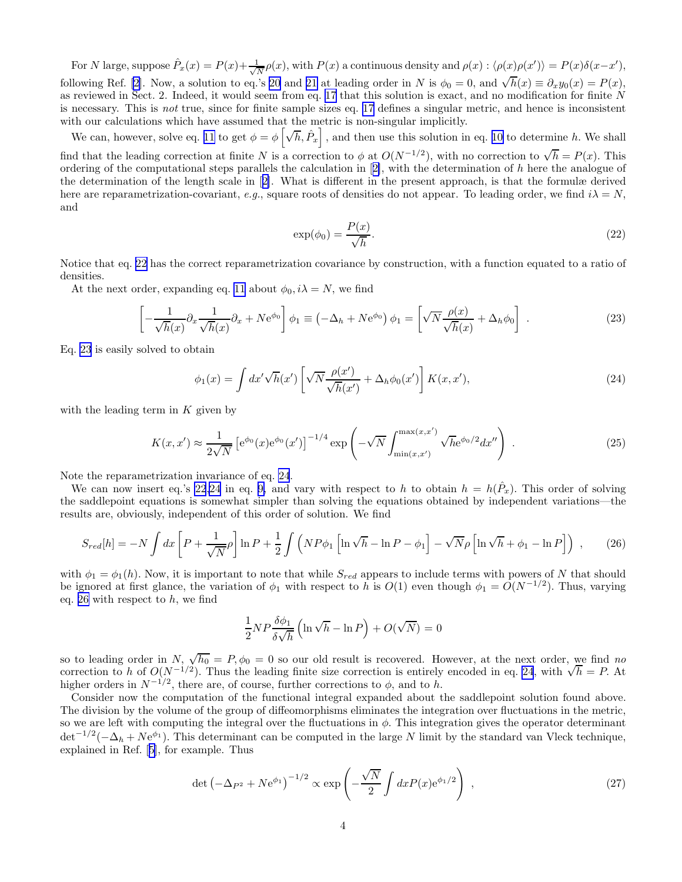<span id="page-3-0"></span>For N large, suppose  $\hat{P}_x(x) = P(x) + \frac{1}{\sqrt{2}}$  $\frac{1}{N}\rho(x)$ , with  $P(x)$  a continuous density and  $\rho(x)$ :  $\langle \rho(x)\rho(x') \rangle = P(x)\delta(x-x')$ , followingRef. [[2](#page-6-0)]. Now, a solution to eq.'s [20](#page-2-0) and [21](#page-2-0) at leading order in N is  $\phi_0 = 0$ , and  $\sqrt{h}(x) \equiv \partial_x y_0(x) = P(x)$ , as reviewed in Sect. 2. Indeed, it would seem from eq. [17](#page-2-0) that this solution is exact, and no modification for finite N is necessary. This is not true, since for finite sample sizes eq. [17](#page-2-0) defines a singular metric, and hence is inconsistent with our calculations which have assumed that the metric is non-singular implicitly.

We can, however, solve eq. [11](#page-1-0) to get  $\phi = \phi \left[ \sqrt{h}, \hat{P}_x \right]$ , and then use this solution in eq. [10](#page-1-0) to determine h. We shall find that the leading correction at finite N is a correction to  $\phi$  at  $O(N^{-1/2})$ , with no correction to  $\sqrt{h} = P(x)$ . This orderingof the computational steps parallels the calculation in  $[2]$  $[2]$ , with the determination of h here the analogue of the determination of the length scale in[[2\]](#page-6-0). What is different in the present approach, is that the formulæ derived here are reparametrization-covariant, e.g., square roots of densities do not appear. To leading order, we find  $i\lambda = N$ , and

$$
\exp(\phi_0) = \frac{P(x)}{\sqrt{h}}.\tag{22}
$$

Notice that eq. 22 has the correct reparametrization covariance by construction, with a function equated to a ratio of densities.

At the next order, expanding eq. [11](#page-1-0) about  $\phi_0, i\lambda = N$ , we find

$$
\left[ -\frac{1}{\sqrt{h}(x)} \partial_x \frac{1}{\sqrt{h}(x)} \partial_x + N e^{\phi_0} \right] \phi_1 \equiv \left( -\Delta_h + N e^{\phi_0} \right) \phi_1 = \left[ \sqrt{N} \frac{\rho(x)}{\sqrt{h}(x)} + \Delta_h \phi_0 \right] . \tag{23}
$$

Eq. 23 is easily solved to obtain

$$
\phi_1(x) = \int dx' \sqrt{h}(x') \left[ \sqrt{N} \frac{\rho(x')}{\sqrt{h}(x')} + \Delta_h \phi_0(x') \right] K(x, x'), \tag{24}
$$

with the leading term in  $K$  given by

$$
K(x, x') \approx \frac{1}{2\sqrt{N}} \left[ e^{\phi_0}(x) e^{\phi_0}(x') \right]^{-1/4} \exp\left( -\sqrt{N} \int_{\min(x, x')}^{\max(x, x')} \sqrt{h} e^{\phi_0/2} dx'' \right) . \tag{25}
$$

Note the reparametrization invariance of eq. 24.

We can now insert eq.'s 22,24 in eq. [9,](#page-1-0) and vary with respect to h to obtain  $h = h(\hat{P}_x)$ . This order of solving the saddlepoint equations is somewhat simpler than solving the equations obtained by independent variations—the results are, obviously, independent of this order of solution. We find

$$
S_{red}[h] = -N \int dx \left[ P + \frac{1}{\sqrt{N}} \rho \right] \ln P + \frac{1}{2} \int \left( NP\phi_1 \left[ \ln \sqrt{h} - \ln P - \phi_1 \right] - \sqrt{N} \rho \left[ \ln \sqrt{h} + \phi_1 - \ln P \right] \right) , \tag{26}
$$

with  $\phi_1 = \phi_1(h)$ . Now, it is important to note that while  $S_{red}$  appears to include terms with powers of N that should be ignored at first glance, the variation of  $\phi_1$  with respect to h is  $O(1)$  even though  $\phi_1 = O(N^{-1/2})$ . Thus, varying eq. 26 with respect to  $h$ , we find

$$
\frac{1}{2}NP\frac{\delta\phi_1}{\delta\sqrt{h}}\left(\ln\sqrt{h}-\ln P\right)+O(\sqrt{N})=0
$$

so to leading order in N,  $\sqrt{h_0} = P$ ,  $\phi_0 = 0$  so our old result is recovered. However, at the next order, we find no correction to h of  $O(N^{-1/2})$ . Thus the leading finite size correction is entirely encoded in eq. 24, with  $\sqrt{h} = P$ . At higher orders in  $N^{-1/2}$ , there are, of course, further corrections to  $\phi$ , and to h.

Consider now the computation of the functional integral expanded about the saddlepoint solution found above. The division by the volume of the group of diffeomorphisms eliminates the integration over fluctuations in the metric, so we are left with computing the integral over the fluctuations in  $\phi$ . This integration gives the operator determinant  $\det^{-1/2}(-\Delta_h + Ne^{\phi_1})$ . This determinant can be computed in the large N limit by the standard van Vleck technique, explained in Ref.[[5\]](#page-6-0), for example. Thus

$$
\det\left(-\Delta_{P^2} + N e^{\phi_1}\right)^{-1/2} \propto \exp\left(-\frac{\sqrt{N}}{2} \int dx P(x) e^{\phi_1/2}\right) ,\qquad (27)
$$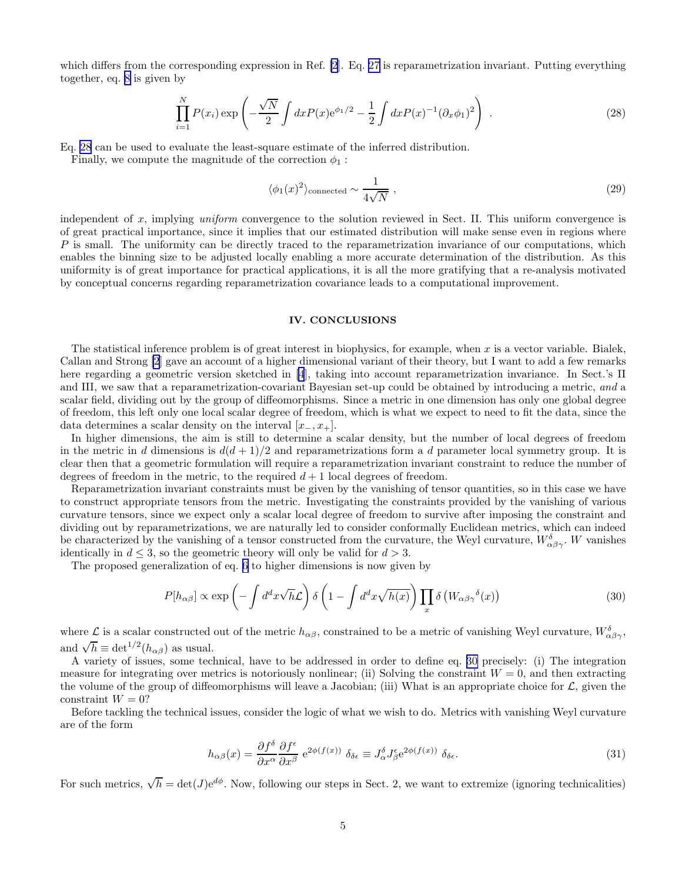which differs from the corresponding expression in Ref. [\[2](#page-6-0)]. Eq. [27](#page-3-0) is reparametrization invariant. Putting everything together, eq. [8](#page-1-0) is given by

$$
\prod_{i=1}^{N} P(x_i) \exp\left(-\frac{\sqrt{N}}{2} \int dx P(x) e^{\phi_1/2} - \frac{1}{2} \int dx P(x)^{-1} (\partial_x \phi_1)^2\right) \tag{28}
$$

Eq. 28 can be used to evaluate the least-square estimate of the inferred distribution.

Finally, we compute the magnitude of the correction  $\phi_1$ :

$$
\langle \phi_1(x)^2 \rangle_{\text{connected}} \sim \frac{1}{4\sqrt{N}} \,, \tag{29}
$$

independent of x, implying uniform convergence to the solution reviewed in Sect. II. This uniform convergence is of great practical importance, since it implies that our estimated distribution will make sense even in regions where  $P$  is small. The uniformity can be directly traced to the reparametrization invariance of our computations, which enables the binning size to be adjusted locally enabling a more accurate determination of the distribution. As this uniformity is of great importance for practical applications, it is all the more gratifying that a re-analysis motivated by conceptual concerns regarding reparametrization covariance leads to a computational improvement.

## IV. CONCLUSIONS

The statistical inference problem is of great interest in biophysics, for example, when  $x$  is a vector variable. Bialek, Callan and Strong [\[2](#page-6-0)] gave an account of a higher dimensional variant of their theory, but I want to add a few remarks here regarding a geometric version sketched in [\[4](#page-6-0)], taking into account reparametrization invariance. In Sect.'s II and III, we saw that a reparametrization-covariant Bayesian set-up could be obtained by introducing a metric, and a scalar field, dividing out by the group of diffeomorphisms. Since a metric in one dimension has only one global degree of freedom, this left only one local scalar degree of freedom, which is what we expect to need to fit the data, since the data determines a scalar density on the interval  $[x_-, x_+]$ .

In higher dimensions, the aim is still to determine a scalar density, but the number of local degrees of freedom in the metric in d dimensions is  $d(d+1)/2$  and reparametrizations form a d parameter local symmetry group. It is clear then that a geometric formulation will require a reparametrization invariant constraint to reduce the number of degrees of freedom in the metric, to the required  $d+1$  local degrees of freedom.

Reparametrization invariant constraints must be given by the vanishing of tensor quantities, so in this case we have to construct appropriate tensors from the metric. Investigating the constraints provided by the vanishing of various curvature tensors, since we expect only a scalar local degree of freedom to survive after imposing the constraint and dividing out by reparametrizations, we are naturally led to consider conformally Euclidean metrics, which can indeed be characterized by the vanishing of a tensor constructed from the curvature, the Weyl curvature,  $W_{\alpha\beta\gamma}^{\delta}$ . W vanishes identically in  $d \leq 3$ , so the geometric theory will only be valid for  $d > 3$ .

The proposed generalization of eq. [6](#page-1-0) to higher dimensions is now given by

$$
P[h_{\alpha\beta}] \propto \exp\left(-\int d^d x \sqrt{h} \mathcal{L}\right) \delta\left(1 - \int d^d x \sqrt{h(x)}\right) \prod_x \delta\left(W_{\alpha\beta\gamma}{}^{\delta}(x)\right) \tag{30}
$$

where  $\mathcal L$  is a scalar constructed out of the metric  $h_{\alpha\beta}$ , constrained to be a metric of vanishing Weyl curvature,  $W_{\alpha\beta\gamma}^{\delta}$ , and  $\sqrt{h} \equiv det^{1/2}(h_{\alpha\beta})$  as usual.

A variety of issues, some technical, have to be addressed in order to define eq. 30 precisely: (i) The integration measure for integrating over metrics is notoriously nonlinear; (ii) Solving the constraint  $W = 0$ , and then extracting the volume of the group of diffeomorphisms will leave a Jacobian; (iii) What is an appropriate choice for  $\mathcal{L}$ , given the constraint  $W = 0$ ?

Before tackling the technical issues, consider the logic of what we wish to do. Metrics with vanishing Weyl curvature are of the form

$$
h_{\alpha\beta}(x) = \frac{\partial f^{\delta}}{\partial x^{\alpha}} \frac{\partial f^{\epsilon}}{\partial x^{\beta}} e^{2\phi(f(x))} \delta_{\delta\epsilon} \equiv J_{\alpha}^{\delta} J_{\beta}^{\epsilon} e^{2\phi(f(x))} \delta_{\delta\epsilon}.
$$
 (31)

For such metrics,  $\sqrt{h} = \det(J) e^{d\phi}$ . Now, following our steps in Sect. 2, we want to extremize (ignoring technicalities)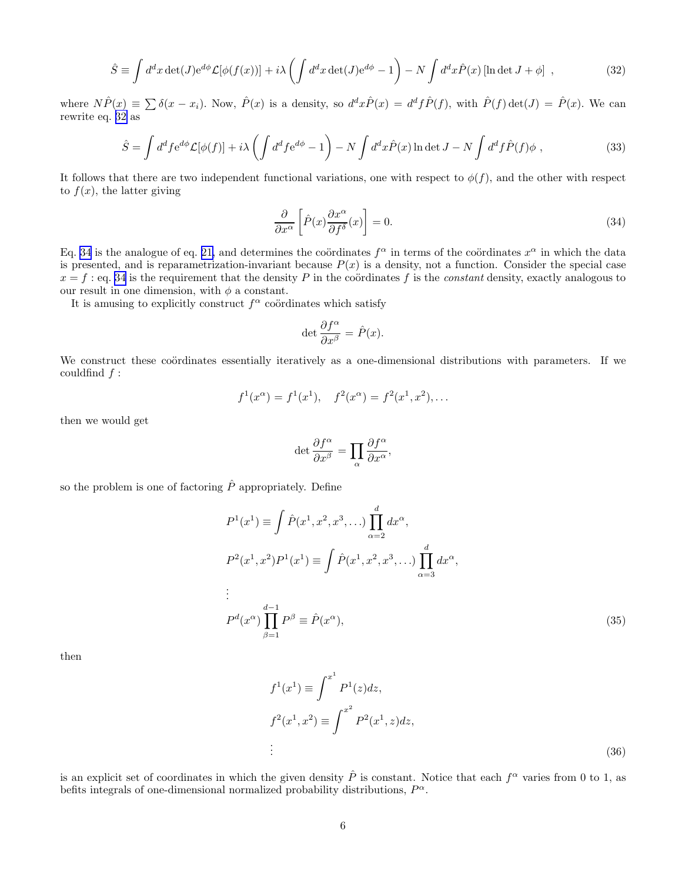$$
\hat{S} \equiv \int d^d x \det(J) e^{d\phi} \mathcal{L}[\phi(f(x))] + i\lambda \left( \int d^d x \det(J) e^{d\phi} - 1 \right) - N \int d^d x \hat{P}(x) \left[ \ln \det J + \phi \right] , \qquad (32)
$$

where  $N\hat{P}(x) \equiv \sum \delta(x-x_i)$ . Now,  $\hat{P}(x)$  is a density, so  $d^d x \hat{P}(x) = d^d f \hat{P}(f)$ , with  $\hat{P}(f) \det(J) = \hat{P}(x)$ . We can rewrite eq. 32 as

$$
\hat{S} = \int d^d f e^{d\phi} \mathcal{L}[\phi(f)] + i\lambda \left( \int d^d f e^{d\phi} - 1 \right) - N \int d^d x \hat{P}(x) \ln \det J - N \int d^d f \hat{P}(f) \phi , \qquad (33)
$$

It follows that there are two independent functional variations, one with respect to  $\phi(f)$ , and the other with respect to  $f(x)$ , the latter giving

$$
\frac{\partial}{\partial x^{\alpha}} \left[ \hat{P}(x) \frac{\partial x^{\alpha}}{\partial f^{\delta}}(x) \right] = 0.
$$
\n(34)

Eq. 34 is the analogue of eq. [21,](#page-2-0) and determines the coördinates  $f^{\alpha}$  in terms of the coördinates  $x^{\alpha}$  in which the data is presented, and is reparametrization-invariant because  $P(x)$  is a density, not a function. Consider the special case  $x = f :$  eq. 34 is the requirement that the density P in the coördinates f is the *constant* density, exactly analogous to our result in one dimension, with  $\phi$  a constant.

It is amusing to explicitly construct  $f^{\alpha}$  coördinates which satisfy

$$
\det \frac{\partial f^{\alpha}}{\partial x^{\beta}} = \hat{P}(x).
$$

We construct these coördinates essentially iteratively as a one-dimensional distributions with parameters. If we couldfind  $f$  :

$$
f^1(x^{\alpha}) = f^1(x^1), \quad f^2(x^{\alpha}) = f^2(x^1, x^2), \dots
$$

then we would get

$$
\det \frac{\partial f^{\alpha}}{\partial x^{\beta}} = \prod_{\alpha} \frac{\partial f^{\alpha}}{\partial x^{\alpha}},
$$

so the problem is one of factoring  $\hat{P}$  appropriately. Define

$$
P^{1}(x^{1}) \equiv \int \hat{P}(x^{1}, x^{2}, x^{3}, \ldots) \prod_{\alpha=2}^{d} dx^{\alpha},
$$
  
\n
$$
P^{2}(x^{1}, x^{2}) P^{1}(x^{1}) \equiv \int \hat{P}(x^{1}, x^{2}, x^{3}, \ldots) \prod_{\alpha=3}^{d} dx^{\alpha},
$$
  
\n
$$
\vdots
$$
  
\n
$$
P^{d}(x^{\alpha}) \prod_{\beta=1}^{d-1} P^{\beta} \equiv \hat{P}(x^{\alpha}),
$$
\n(35)

then

$$
f^{1}(x^{1}) \equiv \int^{x^{1}} P^{1}(z) dz,
$$
  
\n
$$
f^{2}(x^{1}, x^{2}) \equiv \int^{x^{2}} P^{2}(x^{1}, z) dz,
$$
  
\n
$$
\vdots
$$
\n(36)

is an explicit set of coordinates in which the given density  $\hat{P}$  is constant. Notice that each  $f^{\alpha}$  varies from 0 to 1, as befits integrals of one-dimensional normalized probability distributions,  $P^{\alpha}$ .